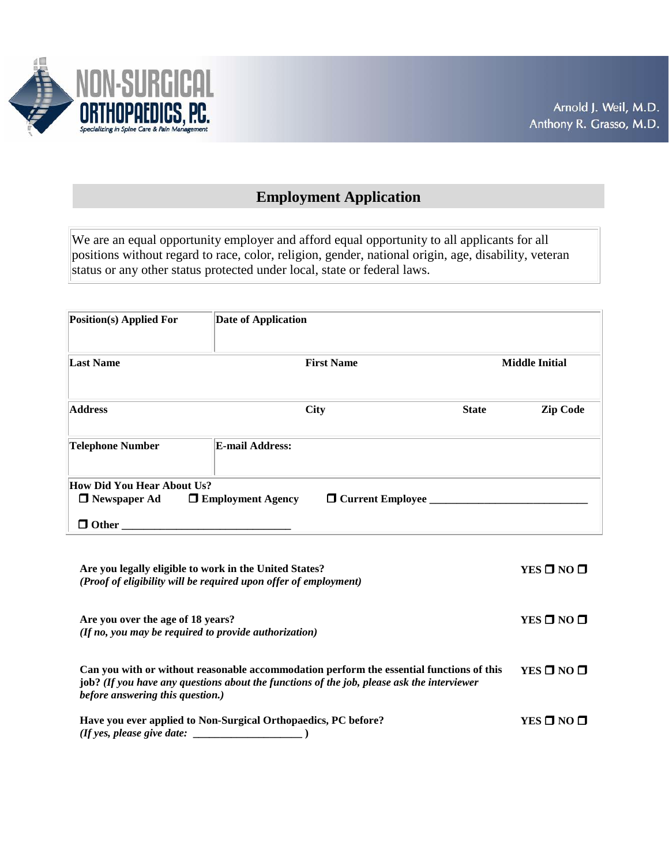

# **Employment Application**

We are an equal opportunity employer and afford equal opportunity to all applicants for all positions without regard to race, color, religion, gender, national origin, age, disability, veteran status or any other status protected under local, state or federal laws.

| Position(s) Applied For                                                  | <b>Date of Application</b> |                                |              |                       |
|--------------------------------------------------------------------------|----------------------------|--------------------------------|--------------|-----------------------|
| <b>Last Name</b>                                                         |                            | <b>First Name</b>              |              | <b>Middle Initial</b> |
| <b>Address</b>                                                           |                            | <b>City</b>                    | <b>State</b> | <b>Zip Code</b>       |
| <b>Telephone Number</b>                                                  | <b>E-mail Address:</b>     |                                |              |                       |
| <b>How Did You Hear About Us?</b><br>$\Box$ Newspaper Ad<br>$\Box$ Other | $\Box$ Employment Agency   | $\Box$ Current Employee $\Box$ |              |                       |

| Are you legally eligible to work in the United States?<br>(Proof of eligibility will be required upon offer of employment)                                                                                                 | YES $\square$ NO $\square$ |
|----------------------------------------------------------------------------------------------------------------------------------------------------------------------------------------------------------------------------|----------------------------|
| Are you over the age of 18 years?<br>(If no, you may be required to provide authorization)                                                                                                                                 | YES $\square$ NO $\square$ |
| Can you with or without reasonable accommodation perform the essential functions of this<br>job? (If you have any questions about the functions of the job, please ask the interviewer<br>before answering this question.) | $YES$ $\Box$ $NO$ $\Box$   |
| Have you ever applied to Non-Surgical Orthopaedics, PC before?<br>(If yes, please give date:                                                                                                                               | YES □ NO □                 |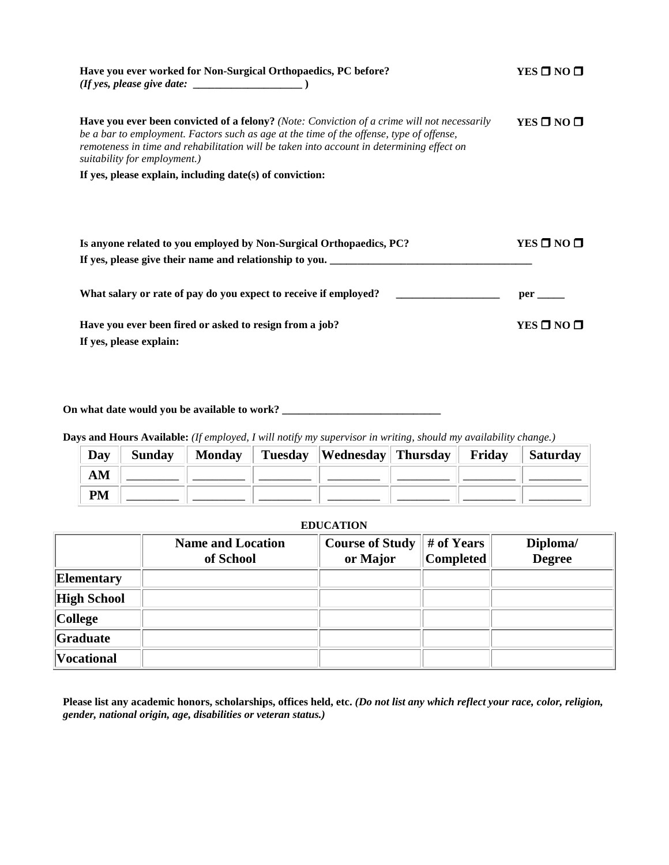| Have you ever worked for Non-Surgical Orthopaedics, PC before?<br>$(If yes, please give date: __________)$                                                                                                                                                                                                                  | YES $\square$ NO $\square$ |
|-----------------------------------------------------------------------------------------------------------------------------------------------------------------------------------------------------------------------------------------------------------------------------------------------------------------------------|----------------------------|
| <b>Have you ever been convicted of a felony?</b> (Note: Conviction of a crime will not necessarily<br>be a bar to employment. Factors such as age at the time of the offense, type of offense,<br>remoteness in time and rehabilitation will be taken into account in determining effect on<br>suitability for employment.) | YES $\square$ NO $\square$ |
| If yes, please explain, including date(s) of conviction:                                                                                                                                                                                                                                                                    |                            |
|                                                                                                                                                                                                                                                                                                                             |                            |
| Is anyone related to you employed by Non-Surgical Orthopaedics, PC?                                                                                                                                                                                                                                                         | YES $\square$ NO $\square$ |
| What salary or rate of pay do you expect to receive if employed?                                                                                                                                                                                                                                                            | per                        |
| Have you ever been fired or asked to resign from a job?<br>If yes, please explain:                                                                                                                                                                                                                                          | $YES$ $\Box$ NO $\Box$     |

**On what date would you be available to work? \_\_\_\_\_\_\_\_\_\_\_\_\_\_\_\_\_\_\_\_\_\_\_\_\_\_\_\_\_** 

**Days and Hours Available:** *(If employed, I will notify my supervisor in writing, should my availability change.)*

| Day       |  | Sunday    Monday    Tuesday    Wednesday    Thursday | <b>Friday</b> | $\parallel$ Saturday |
|-----------|--|------------------------------------------------------|---------------|----------------------|
| AM        |  |                                                      |               |                      |
| <b>PM</b> |  |                                                      |               |                      |

## **EDUCATION**

|                    | <b>Name and Location</b><br>of School | <b>Course of Study</b><br>or Major | # of Years<br><b>Completed</b> | Diploma/<br><b>Degree</b> |
|--------------------|---------------------------------------|------------------------------------|--------------------------------|---------------------------|
| Elementary         |                                       |                                    |                                |                           |
| <b>High School</b> |                                       |                                    |                                |                           |
| $ $ College        |                                       |                                    |                                |                           |
| Graduate           |                                       |                                    |                                |                           |
| <b>Vocational</b>  |                                       |                                    |                                |                           |

**Please list any academic honors, scholarships, offices held, etc.** *(Do not list any which reflect your race, color, religion, gender, national origin, age, disabilities or veteran status.)*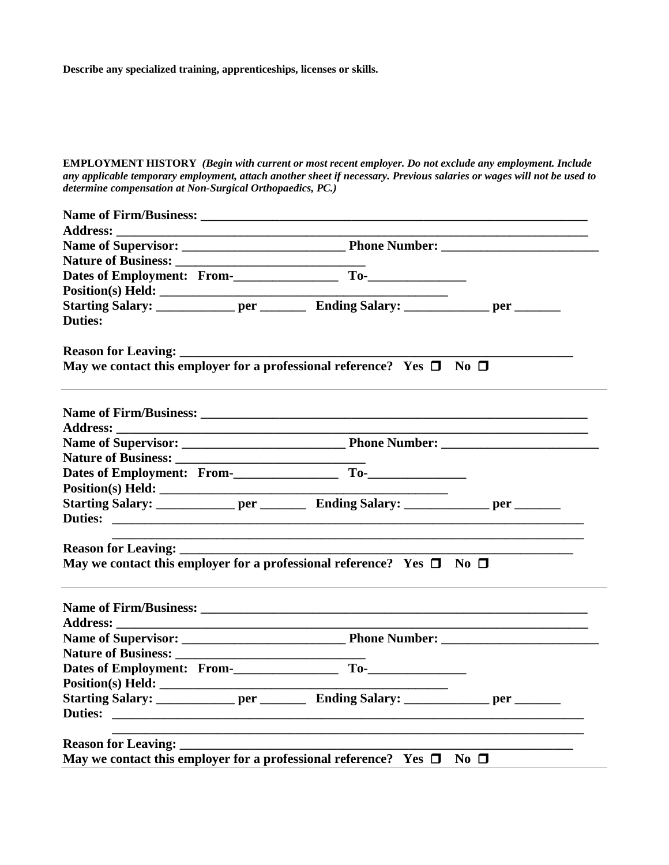**Describe any specialized training, apprenticeships, licenses or skills.**

**EMPLOYMENT HISTORY** *(Begin with current or most recent employer. Do not exclude any employment. Include any applicable temporary employment, attach another sheet if necessary. Previous salaries or wages will not be used to determine compensation at Non-Surgical Orthopaedics, PC.)*

| <b>Address:</b>              |                                                                                                                  |  |
|------------------------------|------------------------------------------------------------------------------------------------------------------|--|
|                              |                                                                                                                  |  |
|                              |                                                                                                                  |  |
|                              |                                                                                                                  |  |
|                              |                                                                                                                  |  |
|                              | Starting Salary: ________________ per ____________ Ending Salary: _______________ per _________                  |  |
| <b>Duties:</b>               |                                                                                                                  |  |
| <b>Reason for Leaving: _</b> |                                                                                                                  |  |
|                              | May we contact this employer for a professional reference? Yes $\Box$ No $\Box$                                  |  |
|                              |                                                                                                                  |  |
|                              |                                                                                                                  |  |
|                              |                                                                                                                  |  |
|                              |                                                                                                                  |  |
|                              |                                                                                                                  |  |
|                              |                                                                                                                  |  |
|                              |                                                                                                                  |  |
|                              | and the control of the control of the control of the control of the control of the control of the control of the |  |
|                              | May we contact this employer for a professional reference? Yes $\Box$ No $\Box$                                  |  |
|                              |                                                                                                                  |  |
|                              |                                                                                                                  |  |
|                              |                                                                                                                  |  |
|                              |                                                                                                                  |  |
|                              |                                                                                                                  |  |
|                              |                                                                                                                  |  |
|                              | Starting Salary: ______________ per __________ Ending Salary: ______________ per ________                        |  |
| <b>Duties:</b>               |                                                                                                                  |  |
|                              |                                                                                                                  |  |
|                              |                                                                                                                  |  |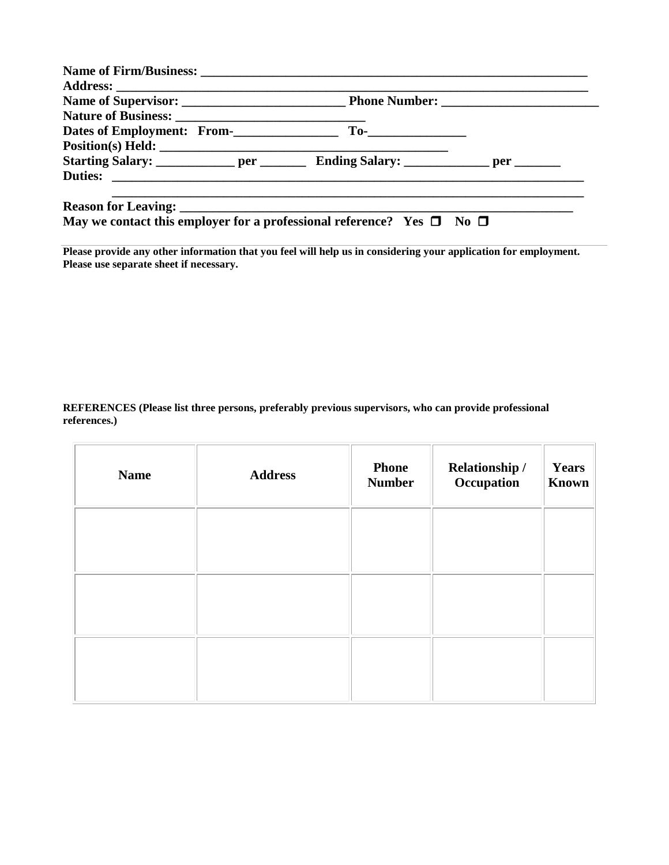**Please provide any other information that you feel will help us in considering your application for employment. Please use separate sheet if necessary.** 

**REFERENCES (Please list three persons, preferably previous supervisors, who can provide professional references.)**

| <b>Name</b> | <b>Address</b> | <b>Phone</b><br><b>Number</b> | Relationship /<br>Occupation | Years<br>Known |
|-------------|----------------|-------------------------------|------------------------------|----------------|
|             |                |                               |                              |                |
|             |                |                               |                              |                |
|             |                |                               |                              |                |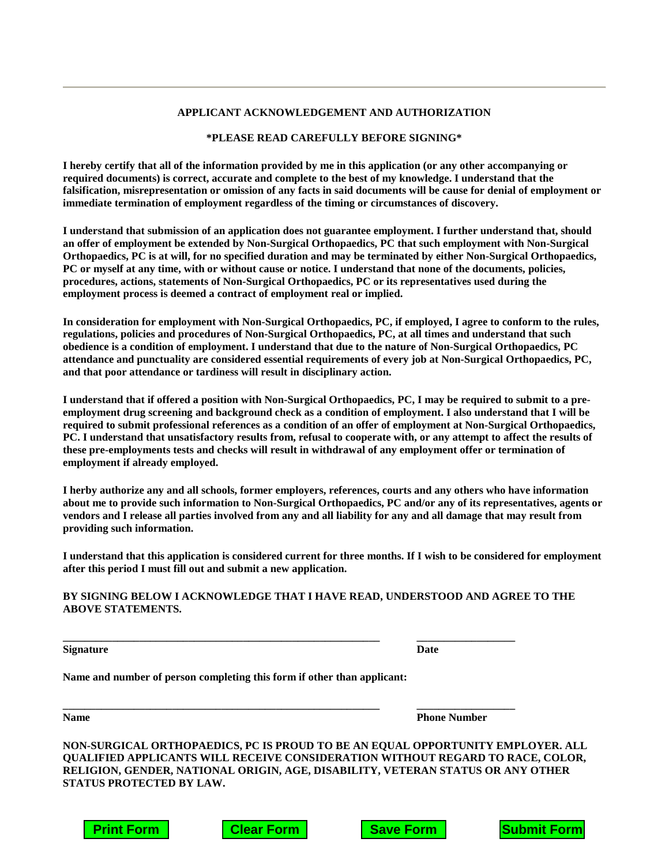#### **APPLICANT ACKNOWLEDGEMENT AND AUTHORIZATION**

### **\*PLEASE READ CAREFULLY BEFORE SIGNING\***

**I hereby certify that all of the information provided by me in this application (or any other accompanying or required documents) is correct, accurate and complete to the best of my knowledge. I understand that the falsification, misrepresentation or omission of any facts in said documents will be cause for denial of employment or immediate termination of employment regardless of the timing or circumstances of discovery.** 

**I understand that submission of an application does not guarantee employment. I further understand that, should an offer of employment be extended by Non-Surgical Orthopaedics, PC that such employment with Non-Surgical Orthopaedics, PC is at will, for no specified duration and may be terminated by either Non-Surgical Orthopaedics, PC or myself at any time, with or without cause or notice. I understand that none of the documents, policies, procedures, actions, statements of Non-Surgical Orthopaedics, PC or its representatives used during the employment process is deemed a contract of employment real or implied.** 

**In consideration for employment with Non-Surgical Orthopaedics, PC, if employed, I agree to conform to the rules, regulations, policies and procedures of Non-Surgical Orthopaedics, PC, at all times and understand that such obedience is a condition of employment. I understand that due to the nature of Non-Surgical Orthopaedics, PC attendance and punctuality are considered essential requirements of every job at Non-Surgical Orthopaedics, PC, and that poor attendance or tardiness will result in disciplinary action.** 

**I understand that if offered a position with Non-Surgical Orthopaedics, PC, I may be required to submit to a preemployment drug screening and background check as a condition of employment. I also understand that I will be required to submit professional references as a condition of an offer of employment at Non-Surgical Orthopaedics, PC. I understand that unsatisfactory results from, refusal to cooperate with, or any attempt to affect the results of these pre-employments tests and checks will result in withdrawal of any employment offer or termination of employment if already employed.** 

**I herby authorize any and all schools, former employers, references, courts and any others who have information about me to provide such information to Non-Surgical Orthopaedics, PC and/or any of its representatives, agents or vendors and I release all parties involved from any and all liability for any and all damage that may result from providing such information.** 

**I understand that this application is considered current for three months. If I wish to be considered for employment after this period I must fill out and submit a new application.** 

### **BY SIGNING BELOW I ACKNOWLEDGE THAT I HAVE READ, UNDERSTOOD AND AGREE TO THE ABOVE STATEMENTS.**

**\_\_\_\_\_\_\_\_\_\_\_\_\_\_\_\_\_\_\_\_\_\_\_\_\_\_\_\_\_\_\_\_\_\_\_\_\_\_\_\_\_\_\_\_\_\_\_\_\_\_\_\_\_\_\_\_\_\_ \_\_\_\_\_\_\_\_\_\_\_\_\_\_\_\_\_\_**

**\_\_\_\_\_\_\_\_\_\_\_\_\_\_\_\_\_\_\_\_\_\_\_\_\_\_\_\_\_\_\_\_\_\_\_\_\_\_\_\_\_\_\_\_\_\_\_\_\_\_\_\_\_\_\_\_\_\_ \_\_\_\_\_\_\_\_\_\_\_\_\_\_\_\_\_\_**

**Signature** Date

**Name and number of person completing this form if other than applicant:** 

**Name Phone Number** 

**NON-SURGICAL ORTHOPAEDICS, PC IS PROUD TO BE AN EQUAL OPPORTUNITY EMPLOYER. ALL QUALIFIED APPLICANTS WILL RECEIVE CONSIDERATION WITHOUT REGARD TO RACE, COLOR, RELIGION, GENDER, NATIONAL ORIGIN, AGE, DISABILITY, VETERAN STATUS OR ANY OTHER STATUS PROTECTED BY LAW.**